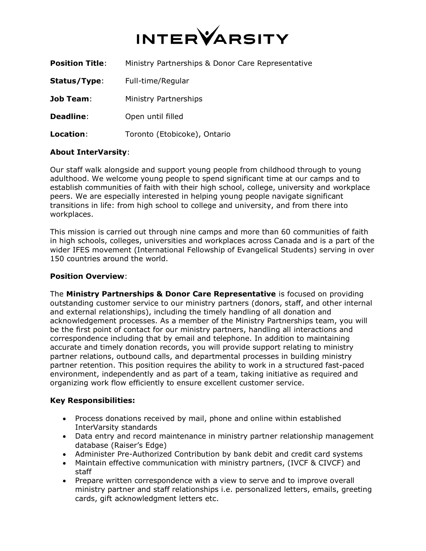

| <b>Position Title:</b> | Ministry Partnerships & Donor Care Representative |
|------------------------|---------------------------------------------------|
| Status/Type:           | Full-time/Regular                                 |
| <b>Job Team:</b>       | Ministry Partnerships                             |
| <b>Deadline:</b>       | Open until filled                                 |
| Location:              | Toronto (Etobicoke), Ontario                      |

## **About InterVarsity**:

Our staff walk alongside and support young people from childhood through to young adulthood. We welcome young people to spend significant time at our camps and to establish communities of faith with their high school, college, university and workplace peers. We are especially interested in helping young people navigate significant transitions in life: from high school to college and university, and from there into workplaces.

This mission is carried out through nine camps and more than 60 communities of faith in high schools, colleges, universities and workplaces across Canada and is a part of the wider IFES movement (International Fellowship of Evangelical Students) serving in over 150 countries around the world.

### **Position Overview**:

The **Ministry Partnerships & Donor Care Representative** is focused on providing outstanding customer service to our ministry partners (donors, staff, and other internal and external relationships), including the timely handling of all donation and acknowledgement processes. As a member of the Ministry Partnerships team, you will be the first point of contact for our ministry partners, handling all interactions and correspondence including that by email and telephone. In addition to maintaining accurate and timely donation records, you will provide support relating to ministry partner relations, outbound calls, and departmental processes in building ministry partner retention. This position requires the ability to work in a structured fast-paced environment, independently and as part of a team, taking initiative as required and organizing work flow efficiently to ensure excellent customer service.

### **Key Responsibilities:**

- Process donations received by mail, phone and online within established InterVarsity standards
- Data entry and record maintenance in ministry partner relationship management database (Raiser's Edge)
- Administer Pre-Authorized Contribution by bank debit and credit card systems
- Maintain effective communication with ministry partners, (IVCF & CIVCF) and staff
- Prepare written correspondence with a view to serve and to improve overall ministry partner and staff relationships i.e. personalized letters, emails, greeting cards, gift acknowledgment letters etc.